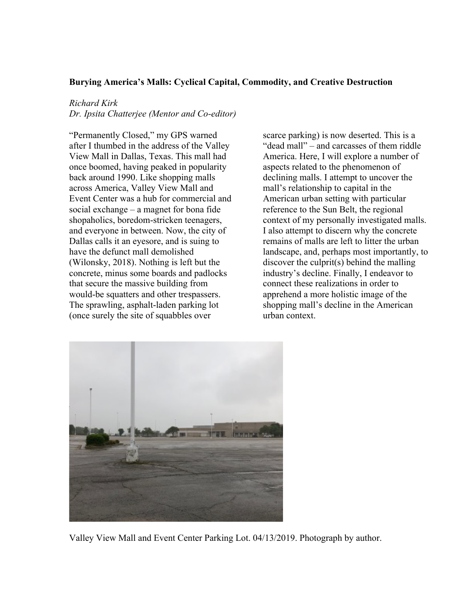## **Burying America's Malls: Cyclical Capital, Commodity, and Creative Destruction**

## *Richard Kirk*

*Dr. Ipsita Chatterjee (Mentor and Co-editor)*

"Permanently Closed," my GPS warned after I thumbed in the address of the Valley View Mall in Dallas, Texas. This mall had once boomed, having peaked in popularity back around 1990. Like shopping malls across America, Valley View Mall and Event Center was a hub for commercial and social exchange – a magnet for bona fide shopaholics, boredom-stricken teenagers, and everyone in between. Now, the city of Dallas calls it an eyesore, and is suing to have the defunct mall demolished (Wilonsky, 2018). Nothing is left but the concrete, minus some boards and padlocks that secure the massive building from would-be squatters and other trespassers. The sprawling, asphalt-laden parking lot (once surely the site of squabbles over

scarce parking) is now deserted. This is a "dead mall" – and carcasses of them riddle America. Here, I will explore a number of aspects related to the phenomenon of declining malls. I attempt to uncover the mall's relationship to capital in the American urban setting with particular reference to the Sun Belt, the regional context of my personally investigated malls. I also attempt to discern why the concrete remains of malls are left to litter the urban landscape, and, perhaps most importantly, to discover the culprit(s) behind the malling industry's decline. Finally, I endeavor to connect these realizations in order to apprehend a more holistic image of the shopping mall's decline in the American urban context.



Valley View Mall and Event Center Parking Lot. 04/13/2019. Photograph by author.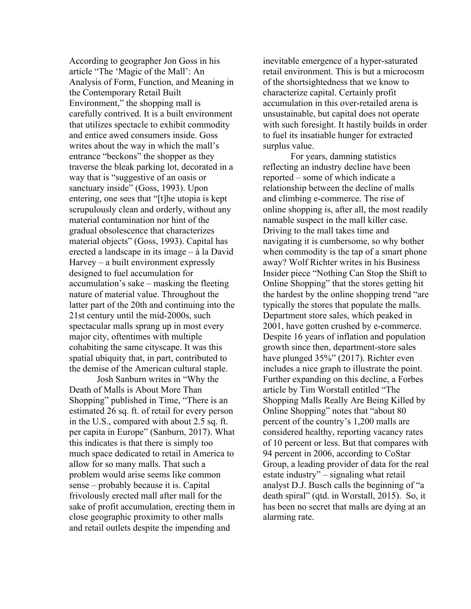According to geographer Jon Goss in his article "The 'Magic of the Mall': An Analysis of Form, Function, and Meaning in the Contemporary Retail Built Environment," the shopping mall is carefully contrived. It is a built environment that utilizes spectacle to exhibit commodity and entice awed consumers inside. Goss writes about the way in which the mall's entrance "beckons" the shopper as they traverse the bleak parking lot, decorated in a way that is "suggestive of an oasis or sanctuary inside" (Goss, 1993). Upon entering, one sees that "[t]he utopia is kept scrupulously clean and orderly, without any material contamination nor hint of the gradual obsolescence that characterizes material objects" (Goss, 1993). Capital has erected a landscape in its image – à la David Harvey – a built environment expressly designed to fuel accumulation for accumulation's sake – masking the fleeting nature of material value. Throughout the latter part of the 20th and continuing into the 21st century until the mid-2000s, such spectacular malls sprang up in most every major city, oftentimes with multiple cohabiting the same cityscape. It was this spatial ubiquity that, in part, contributed to the demise of the American cultural staple.

Josh Sanburn writes in "Why the Death of Malls is About More Than Shopping" published in Time, "There is an estimated 26 sq. ft. of retail for every person in the U.S., compared with about 2.5 sq. ft. per capita in Europe" (Sanburn, 2017). What this indicates is that there is simply too much space dedicated to retail in America to allow for so many malls. That such a problem would arise seems like common sense – probably because it is. Capital frivolously erected mall after mall for the sake of profit accumulation, erecting them in close geographic proximity to other malls and retail outlets despite the impending and

inevitable emergence of a hyper-saturated retail environment. This is but a microcosm of the shortsightedness that we know to characterize capital. Certainly profit accumulation in this over-retailed arena is unsustainable, but capital does not operate with such foresight. It hastily builds in order to fuel its insatiable hunger for extracted surplus value.

For years, damning statistics reflecting an industry decline have been reported – some of which indicate a relationship between the decline of malls and climbing e-commerce. The rise of online shopping is, after all, the most readily namable suspect in the mall killer case. Driving to the mall takes time and navigating it is cumbersome, so why bother when commodity is the tap of a smart phone away? Wolf Richter writes in his Business Insider piece "Nothing Can Stop the Shift to Online Shopping" that the stores getting hit the hardest by the online shopping trend "are typically the stores that populate the malls. Department store sales, which peaked in 2001, have gotten crushed by e-commerce. Despite 16 years of inflation and population growth since then, department-store sales have plunged 35%" (2017). Richter even includes a nice graph to illustrate the point. Further expanding on this decline, a Forbes article by Tim Worstall entitled "The Shopping Malls Really Are Being Killed by Online Shopping" notes that "about 80 percent of the country's 1,200 malls are considered healthy, reporting vacancy rates of 10 percent or less. But that compares with 94 percent in 2006, according to CoStar Group, a leading provider of data for the real estate industry" – signaling what retail analyst D.J. Busch calls the beginning of "a death spiral" (qtd. in Worstall, 2015). So, it has been no secret that malls are dying at an alarming rate.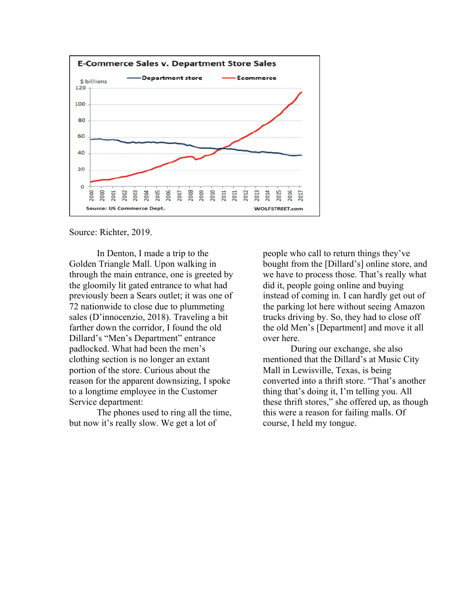

Source: Richter, 2019.

In Denton, I made a trip to the Golden Triangle Mall. Upon walking in through the main entrance, one is greeted by the gloomily lit gated entrance to what had previously been a Sears outlet; it was one of 72 nationwide to close due to plummeting sales (D'innocenzio, 2018). Traveling a bit farther down the corridor, I found the old Dillard's "Men's Department" entrance padlocked. What had been the men's clothing section is no longer an extant portion of the store. Curious about the reason for the apparent downsizing, I spoke to a longtime employee in the Customer Service department:

The phones used to ring all the time, but now it's really slow. We get a lot of

people who call to return things they've bought from the [Dillard's] online store, and we have to process those. That's really what did it, people going online and buying instead of coming in. I can hardly get out of the parking lot here without seeing Amazon trucks driving by. So, they had to close off the old Men's [Department] and move it all over here.

During our exchange, she also mentioned that the Dillard's at Music City Mall in Lewisville, Texas, is being converted into a thrift store. "That's another thing that's doing it, I'm telling you. All these thrift stores," she offered up, as though this were a reason for failing malls. Of course, I held my tongue.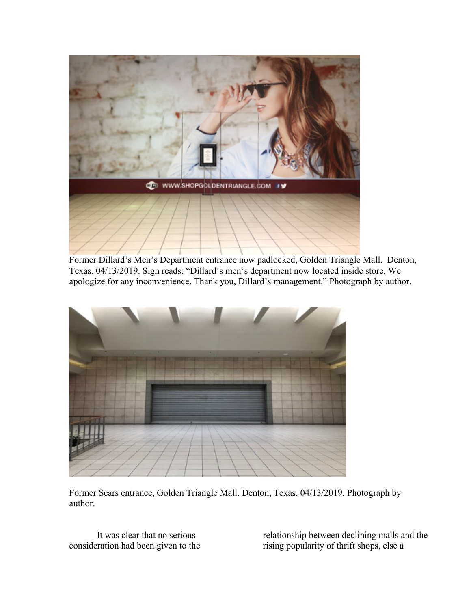

Former Dillard's Men's Department entrance now padlocked, Golden Triangle Mall. Denton, Texas. 04/13/2019. Sign reads: "Dillard's men's department now located inside store. We apologize for any inconvenience. Thank you, Dillard's management." Photograph by author.



Former Sears entrance, Golden Triangle Mall. Denton, Texas. 04/13/2019. Photograph by author.

It was clear that no serious consideration had been given to the

relationship between declining malls and the rising popularity of thrift shops, else a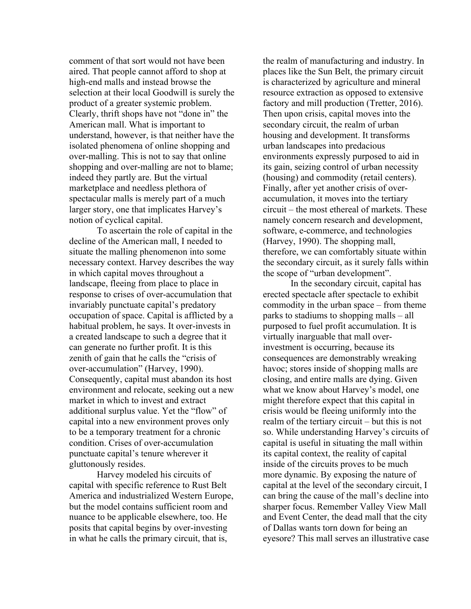comment of that sort would not have been aired. That people cannot afford to shop at high-end malls and instead browse the selection at their local Goodwill is surely the product of a greater systemic problem. Clearly, thrift shops have not "done in" the American mall. What is important to understand, however, is that neither have the isolated phenomena of online shopping and over-malling. This is not to say that online shopping and over-malling are not to blame; indeed they partly are. But the virtual marketplace and needless plethora of spectacular malls is merely part of a much larger story, one that implicates Harvey's notion of cyclical capital.

To ascertain the role of capital in the decline of the American mall, I needed to situate the malling phenomenon into some necessary context. Harvey describes the way in which capital moves throughout a landscape, fleeing from place to place in response to crises of over-accumulation that invariably punctuate capital's predatory occupation of space. Capital is afflicted by a habitual problem, he says. It over-invests in a created landscape to such a degree that it can generate no further profit. It is this zenith of gain that he calls the "crisis of over-accumulation" (Harvey, 1990). Consequently, capital must abandon its host environment and relocate, seeking out a new market in which to invest and extract additional surplus value. Yet the "flow" of capital into a new environment proves only to be a temporary treatment for a chronic condition. Crises of over-accumulation punctuate capital's tenure wherever it gluttonously resides.

Harvey modeled his circuits of capital with specific reference to Rust Belt America and industrialized Western Europe, but the model contains sufficient room and nuance to be applicable elsewhere, too. He posits that capital begins by over-investing in what he calls the primary circuit, that is,

the realm of manufacturing and industry. In places like the Sun Belt, the primary circuit is characterized by agriculture and mineral resource extraction as opposed to extensive factory and mill production (Tretter, 2016). Then upon crisis, capital moves into the secondary circuit, the realm of urban housing and development. It transforms urban landscapes into predacious environments expressly purposed to aid in its gain, seizing control of urban necessity (housing) and commodity (retail centers). Finally, after yet another crisis of overaccumulation, it moves into the tertiary circuit – the most ethereal of markets. These namely concern research and development, software, e-commerce, and technologies (Harvey, 1990). The shopping mall, therefore, we can comfortably situate within the secondary circuit, as it surely falls within the scope of "urban development".

In the secondary circuit, capital has erected spectacle after spectacle to exhibit commodity in the urban space – from theme parks to stadiums to shopping malls – all purposed to fuel profit accumulation. It is virtually inarguable that mall overinvestment is occurring, because its consequences are demonstrably wreaking havoc; stores inside of shopping malls are closing, and entire malls are dying. Given what we know about Harvey's model, one might therefore expect that this capital in crisis would be fleeing uniformly into the realm of the tertiary circuit – but this is not so. While understanding Harvey's circuits of capital is useful in situating the mall within its capital context, the reality of capital inside of the circuits proves to be much more dynamic. By exposing the nature of capital at the level of the secondary circuit, I can bring the cause of the mall's decline into sharper focus. Remember Valley View Mall and Event Center, the dead mall that the city of Dallas wants torn down for being an eyesore? This mall serves an illustrative case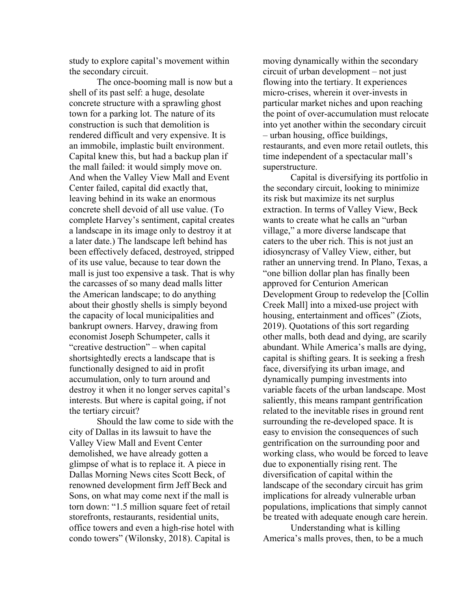study to explore capital's movement within the secondary circuit.

The once-booming mall is now but a shell of its past self: a huge, desolate concrete structure with a sprawling ghost town for a parking lot. The nature of its construction is such that demolition is rendered difficult and very expensive. It is an immobile, implastic built environment. Capital knew this, but had a backup plan if the mall failed: it would simply move on. And when the Valley View Mall and Event Center failed, capital did exactly that, leaving behind in its wake an enormous concrete shell devoid of all use value. (To complete Harvey's sentiment, capital creates a landscape in its image only to destroy it at a later date.) The landscape left behind has been effectively defaced, destroyed, stripped of its use value, because to tear down the mall is just too expensive a task. That is why the carcasses of so many dead malls litter the American landscape; to do anything about their ghostly shells is simply beyond the capacity of local municipalities and bankrupt owners. Harvey, drawing from economist Joseph Schumpeter, calls it "creative destruction" – when capital shortsightedly erects a landscape that is functionally designed to aid in profit accumulation, only to turn around and destroy it when it no longer serves capital's interests. But where is capital going, if not the tertiary circuit?

Should the law come to side with the city of Dallas in its lawsuit to have the Valley View Mall and Event Center demolished, we have already gotten a glimpse of what is to replace it. A piece in Dallas Morning News cites Scott Beck, of renowned development firm Jeff Beck and Sons, on what may come next if the mall is torn down: "1.5 million square feet of retail storefronts, restaurants, residential units, office towers and even a high-rise hotel with condo towers" (Wilonsky, 2018). Capital is

moving dynamically within the secondary circuit of urban development – not just flowing into the tertiary. It experiences micro-crises, wherein it over-invests in particular market niches and upon reaching the point of over-accumulation must relocate into yet another within the secondary circuit – urban housing, office buildings, restaurants, and even more retail outlets, this time independent of a spectacular mall's superstructure.

Capital is diversifying its portfolio in the secondary circuit, looking to minimize its risk but maximize its net surplus extraction. In terms of Valley View, Beck wants to create what he calls an "urban village," a more diverse landscape that caters to the uber rich. This is not just an idiosyncrasy of Valley View, either, but rather an unnerving trend. In Plano, Texas, a "one billion dollar plan has finally been approved for Centurion American Development Group to redevelop the [Collin Creek Mall] into a mixed-use project with housing, entertainment and offices" (Ziots, 2019). Quotations of this sort regarding other malls, both dead and dying, are scarily abundant. While America's malls are dying, capital is shifting gears. It is seeking a fresh face, diversifying its urban image, and dynamically pumping investments into variable facets of the urban landscape. Most saliently, this means rampant gentrification related to the inevitable rises in ground rent surrounding the re-developed space. It is easy to envision the consequences of such gentrification on the surrounding poor and working class, who would be forced to leave due to exponentially rising rent. The diversification of capital within the landscape of the secondary circuit has grim implications for already vulnerable urban populations, implications that simply cannot be treated with adequate enough care herein.

Understanding what is killing America's malls proves, then, to be a much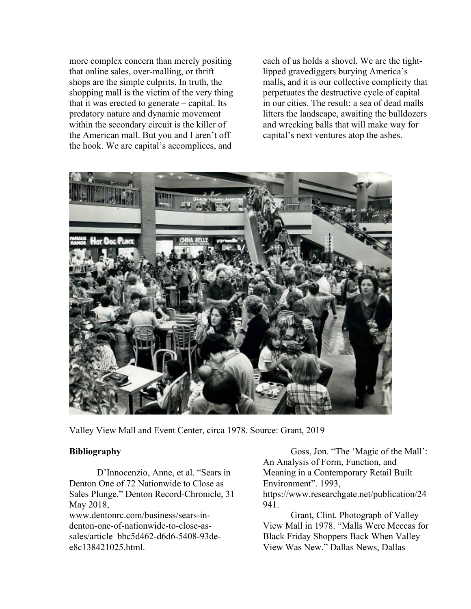more complex concern than merely positing that online sales, over-malling, or thrift shops are the simple culprits. In truth, the shopping mall is the victim of the very thing that it was erected to generate – capital. Its predatory nature and dynamic movement within the secondary circuit is the killer of the American mall. But you and I aren't off the hook. We are capital's accomplices, and

each of us holds a shovel. We are the tightlipped gravediggers burying America's malls, and it is our collective complicity that perpetuates the destructive cycle of capital in our cities. The result: a sea of dead malls litters the landscape, awaiting the bulldozers and wrecking balls that will make way for capital's next ventures atop the ashes.



Valley View Mall and Event Center, circa 1978. Source: Grant, 2019

## **Bibliography**

D'Innocenzio, Anne, et al. "Sears in Denton One of 72 Nationwide to Close as Sales Plunge." Denton Record-Chronicle, 31 May 2018,

www.dentonrc.com/business/sears-indenton-one-of-nationwide-to-close-assales/article\_bbc5d462-d6d6-5408-93dee8c138421025.html.

Goss, Jon. "The 'Magic of the Mall': An Analysis of Form, Function, and Meaning in a Contemporary Retail Built Environment". 1993, https://www.researchgate.net/publication/24 941.

Grant, Clint. Photograph of Valley View Mall in 1978. "Malls Were Meccas for Black Friday Shoppers Back When Valley View Was New." Dallas News, Dallas